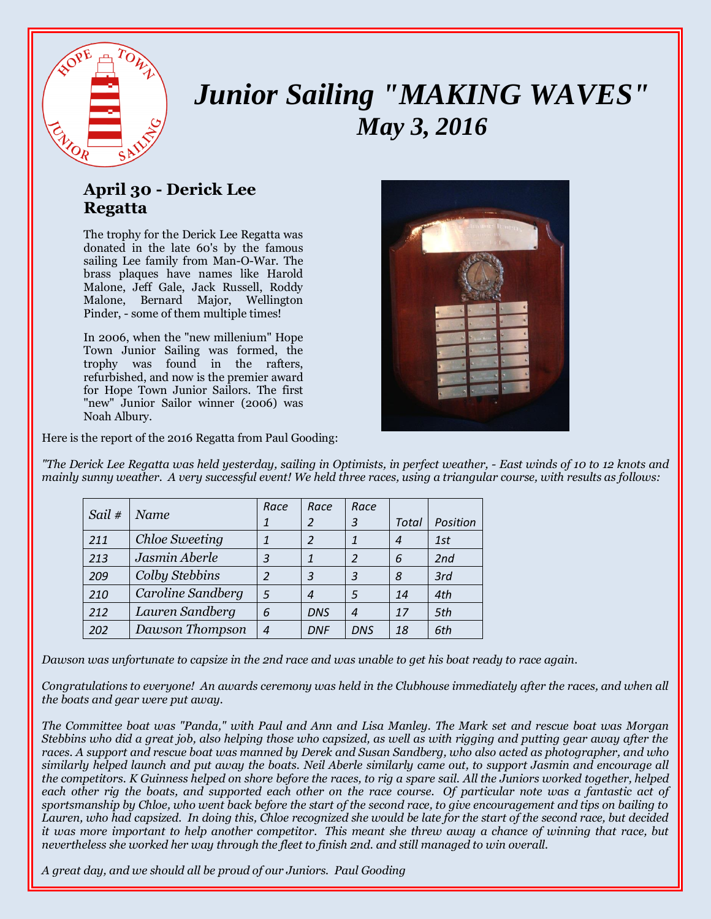

## *Junior Sailing "MAKING WAVES" May 3, 2016*

## **April 30 - Derick Lee Regatta**

The trophy for the Derick Lee Regatta was donated in the late 60's by the famous sailing Lee family from Man-O-War. The brass plaques have names like Harold Malone, Jeff Gale, Jack Russell, Roddy Malone, Bernard Major, Wellington Pinder, - some of them multiple times!

In 2006, when the "new millenium" Hope Town Junior Sailing was formed, the trophy was found in the rafters, refurbished, and now is the premier award for Hope Town Junior Sailors. The first "new" Junior Sailor winner (2006) was Noah Albury.



Here is the report of the 2016 Regatta from Paul Gooding:

*"The Derick Lee Regatta was held yesterday, sailing in Optimists, in perfect weather, - East winds of 10 to 12 knots and mainly sunny weather. A very successful event! We held three races, using a triangular course, with results as follows:*

| Sail# | Name              | Race           | Race       | Race             |       |          |
|-------|-------------------|----------------|------------|------------------|-------|----------|
|       |                   |                | 2          | 3                | Total | Position |
| 211   | Chloe Sweeting    | 1              | 2          |                  | 4     | 1st      |
| 213   | Jasmin Aberle     | 3              | 1          | 2                | 6     | 2nd      |
| 209   | Colby Stebbins    | 2              | 3          | 3                | 8     | 3rd      |
| 210   | Caroline Sandberg | 5              | 4          | 5                | 14    | 4th      |
| 212   | Lauren Sandberg   | 6              | <b>DNS</b> | $\boldsymbol{A}$ | 17    | 5th      |
| 202   | Dawson Thompson   | $\overline{4}$ | <b>DNF</b> | <b>DNS</b>       | 18    | 6th      |

*Dawson was unfortunate to capsize in the 2nd race and was unable to get his boat ready to race again.*

*Congratulations to everyone! An awards ceremony was held in the Clubhouse immediately after the races, and when all the boats and gear were put away.*

*The Committee boat was "Panda," with Paul and Ann and Lisa Manley. The Mark set and rescue boat was Morgan Stebbins who did a great job, also helping those who capsized, as well as with rigging and putting gear away after the races. A support and rescue boat was manned by Derek and Susan Sandberg, who also acted as photographer, and who similarly helped launch and put away the boats. Neil Aberle similarly came out, to support Jasmin and encourage all the competitors. K Guinness helped on shore before the races, to rig a spare sail. All the Juniors worked together, helped each other rig the boats, and supported each other on the race course. Of particular note was a fantastic act of sportsmanship by Chloe, who went back before the start of the second race, to give encouragement and tips on bailing to Lauren, who had capsized. In doing this, Chloe recognized she would be late for the start of the second race, but decided it was more important to help another competitor. This meant she threw away a chance of winning that race, but nevertheless she worked her way through the fleet to finish 2nd. and still managed to win overall.* 

*A great day, and we should all be proud of our Juniors. Paul Gooding*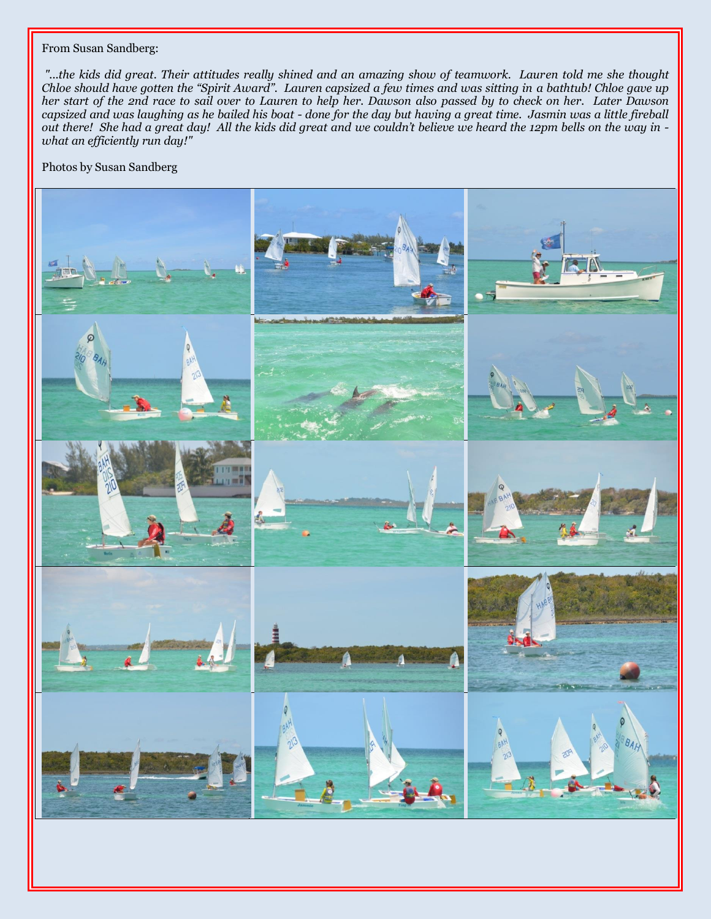## From Susan Sandberg:

*"...the kids did great. Their attitudes really shined and an amazing show of teamwork. Lauren told me she thought Chloe should have gotten the "Spirit Award". Lauren capsized a few times and was sitting in a bathtub! Chloe gave up her start of the 2nd race to sail over to Lauren to help her. Dawson also passed by to check on her. Later Dawson capsized and was laughing as he bailed his boat - done for the day but having a great time. Jasmin was a little fireball out there! She had a great day! All the kids did great and we couldn't believe we heard the 12pm bells on the way in what an efficiently run day!"*

Photos by Susan Sandberg